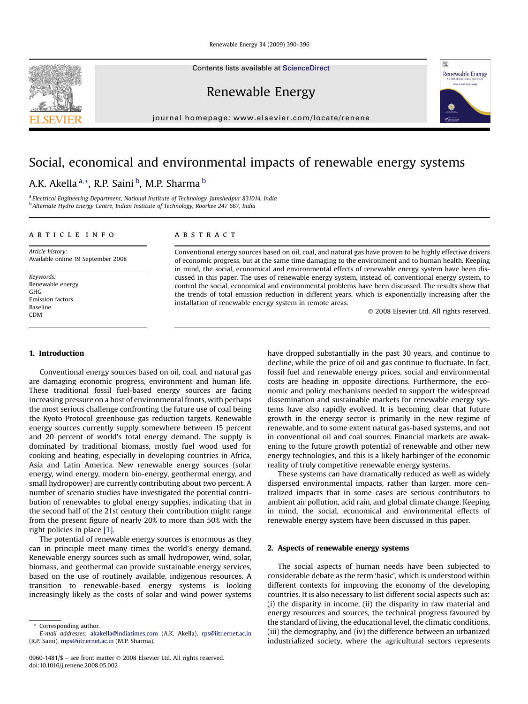Contents lists available at [ScienceDirect](www.sciencedirect.com/science/journal/09601481)

Renewable Energy

journal homepage: [www.elsevier.com/locate/renene](http://www.elsevier.com/locate/renene)

# Social, economical and environmental impacts of renewable energy systems

## A.K. Akella <sup>a,</sup>\*, R.P. Saini <sup>b</sup>, M.P. Sharma <sup>b</sup>

<sup>a</sup> Electrical Engineering Department, National Institute of Technology, Jamshedpur 831014, India <sup>b</sup> Alternate Hydro Energy Centre, Indian Institute of Technology, Roorkee 247 667, India

## article info

Article history: Available online 19 September 2008

Keywords: Renewable energy GHG Emission factors Baseline CDM

## ABSTRACT

Conventional energy sources based on oil, coal, and natural gas have proven to be highly effective drivers of economic progress, but at the same time damaging to the environment and to human health. Keeping in mind, the social, economical and environmental effects of renewable energy system have been discussed in this paper. The uses of renewable energy system, instead of, conventional energy system, to control the social, economical and environmental problems have been discussed. The results show that the trends of total emission reduction in different years, which is exponentially increasing after the installation of renewable energy system in remote areas.

- 2008 Elsevier Ltd. All rights reserved.

#### 1. Introduction

Conventional energy sources based on oil, coal, and natural gas are damaging economic progress, environment and human life. These traditional fossil fuel-based energy sources are facing increasing pressure on a host of environmental fronts, with perhaps the most serious challenge confronting the future use of coal being the Kyoto Protocol greenhouse gas reduction targets. Renewable energy sources currently supply somewhere between 15 percent and 20 percent of world's total energy demand. The supply is dominated by traditional biomass, mostly fuel wood used for cooking and heating, especially in developing countries in Africa, Asia and Latin America. New renewable energy sources (solar energy, wind energy, modern bio-energy, geothermal energy, and small hydropower) are currently contributing about two percent. A number of scenario studies have investigated the potential contribution of renewables to global energy supplies, indicating that in the second half of the 21st century their contribution might range from the present figure of nearly 20% to more than 50% with the right policies in place [\[1\]](#page-6-0).

The potential of renewable energy sources is enormous as they can in principle meet many times the world's energy demand. Renewable energy sources such as small hydropower, wind, solar, biomass, and geothermal can provide sustainable energy services, based on the use of routinely available, indigenous resources. A transition to renewable-based energy systems is looking increasingly likely as the costs of solar and wind power systems

\* Corresponding author.

have dropped substantially in the past 30 years, and continue to decline, while the price of oil and gas continue to fluctuate. In fact, fossil fuel and renewable energy prices, social and environmental costs are heading in opposite directions. Furthermore, the economic and policy mechanisms needed to support the widespread dissemination and sustainable markets for renewable energy systems have also rapidly evolved. It is becoming clear that future growth in the energy sector is primarily in the new regime of renewable, and to some extent natural gas-based systems, and not in conventional oil and coal sources. Financial markets are awakening to the future growth potential of renewable and other new energy technologies, and this is a likely harbinger of the economic reality of truly competitive renewable energy systems.

These systems can have dramatically reduced as well as widely dispersed environmental impacts, rather than larger, more centralized impacts that in some cases are serious contributors to ambient air pollution, acid rain, and global climate change. Keeping in mind, the social, economical and environmental effects of renewable energy system have been discussed in this paper.

## 2. Aspects of renewable energy systems

The social aspects of human needs have been subjected to considerable debate as the term 'basic', which is understood within different contexts for improving the economy of the developing countries. It is also necessary to list different social aspects such as: (i) the disparity in income, (ii) the disparity in raw material and energy resources and sources, the technical progress favoured by the standard of living, the educational level, the climatic conditions, (iii) the demography, and (iv) the difference between an urbanized industrialized society, where the agricultural sectors represents





E-mail addresses: [akakella@indiatimes.com](mailto:akakella@indiatimes.com) (A.K. Akella), [rps@iitr.ernet.ac.in](mailto:rps@iitr.ernet.ac.in) (R.P. Saini), [mps@iitr.ernet.ac.in](mailto:mps@iitr.ernet.ac.in) (M.P. Sharma).

<sup>0960-1481/\$ –</sup> see front matter © 2008 Elsevier Ltd. All rights reserved. doi:10.1016/j.renene.2008.05.002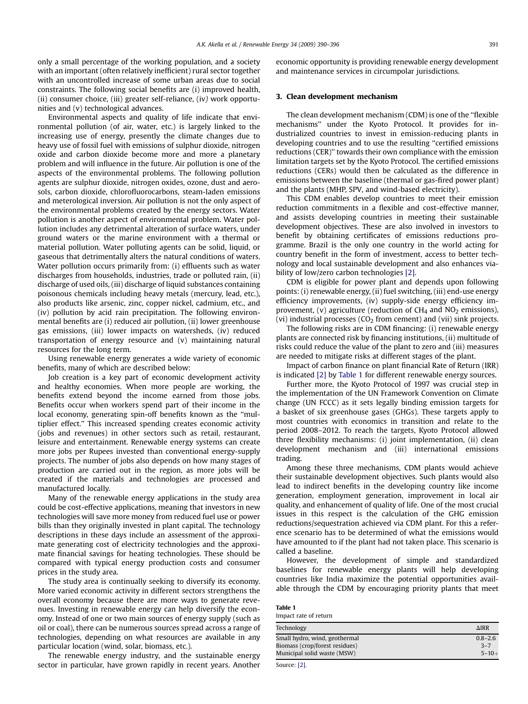only a small percentage of the working population, and a society with an important (often relatively inefficient) rural sector together with an uncontrolled increase of some urban areas due to social constraints. The following social benefits are (i) improved health, (ii) consumer choice, (iii) greater self-reliance, (iv) work opportunities and (v) technological advances.

Environmental aspects and quality of life indicate that environmental pollution (of air, water, etc.) is largely linked to the increasing use of energy, presently the climate changes due to heavy use of fossil fuel with emissions of sulphur dioxide, nitrogen oxide and carbon dioxide become more and more a planetary problem and will influence in the future. Air pollution is one of the aspects of the environmental problems. The following pollution agents are sulphur dioxide, nitrogen oxides, ozone, dust and aerosols, carbon dioxide, chlorofluorocarbons, steam-laden emissions and meterological inversion. Air pollution is not the only aspect of the environmental problems created by the energy sectors. Water pollution is another aspect of environmental problem. Water pollution includes any detrimental alteration of surface waters, under ground waters or the marine environment with a thermal or material pollution. Water polluting agents can be solid, liquid, or gaseous that detrimentally alters the natural conditions of waters. Water pollution occurs primarily from: (i) effluents such as water discharges from households, industries, trade or polluted rain, (ii) discharge of used oils, (iii) discharge of liquid substances containing poisonous chemicals including heavy metals (mercury, lead, etc.), also products like arsenic, zinc, copper nickel, cadmium, etc., and (iv) pollution by acid rain precipitation. The following environmental benefits are (i) reduced air pollution, (ii) lower greenhouse gas emissions, (iii) lower impacts on watersheds, (iv) reduced transportation of energy resource and (v) maintaining natural resources for the long term.

Using renewable energy generates a wide variety of economic benefits, many of which are described below:

Job creation is a key part of economic development activity and healthy economies. When more people are working, the benefits extend beyond the income earned from those jobs. Benefits occur when workers spend part of their income in the local economy, generating spin-off benefits known as the ''multiplier effect.'' This increased spending creates economic activity (jobs and revenues) in other sectors such as retail, restaurant, leisure and entertainment. Renewable energy systems can create more jobs per Rupees invested than conventional energy-supply projects. The number of jobs also depends on how many stages of production are carried out in the region, as more jobs will be created if the materials and technologies are processed and manufactured locally.

Many of the renewable energy applications in the study area could be cost-effective applications, meaning that investors in new technologies will save more money from reduced fuel use or power bills than they originally invested in plant capital. The technology descriptions in these days include an assessment of the approximate generating cost of electricity technologies and the approximate financial savings for heating technologies. These should be compared with typical energy production costs and consumer prices in the study area.

The study area is continually seeking to diversify its economy. More varied economic activity in different sectors strengthens the overall economy because there are more ways to generate revenues. Investing in renewable energy can help diversify the economy. Instead of one or two main sources of energy supply (such as oil or coal), there can be numerous sources spread across a range of technologies, depending on what resources are available in any particular location (wind, solar, biomass, etc.).

The renewable energy industry, and the sustainable energy sector in particular, have grown rapidly in recent years. Another economic opportunity is providing renewable energy development and maintenance services in circumpolar jurisdictions.

## 3. Clean development mechanism

The clean development mechanism (CDM) is one of the ''flexible mechanisms'' under the Kyoto Protocol. It provides for industrialized countries to invest in emission-reducing plants in developing countries and to use the resulting ''certified emissions reductions (CER)'' towards their own compliance with the emission limitation targets set by the Kyoto Protocol. The certified emissions reductions (CERs) would then be calculated as the difference in emissions between the baseline (thermal or gas-fired power plant) and the plants (MHP, SPV, and wind-based electricity).

This CDM enables develop countries to meet their emission reduction commitments in a flexible and cost-effective manner, and assists developing countries in meeting their sustainable development objectives. These are also involved in investors to benefit by obtaining certificates of emissions reductions programme. Brazil is the only one country in the world acting for country benefit in the form of investment, access to better technology and local sustainable development and also enhances viability of low/zero carbon technologies [\[2\].](#page-6-0)

CDM is eligible for power plant and depends upon following points: (i) renewable energy, (ii) fuel switching, (iii) end-use energy efficiency improvements, (iv) supply-side energy efficiency improvement,  $(v)$  agriculture (reduction of CH<sub>4</sub> and NO<sub>2</sub> emissions), (vi) industrial processes ( $CO<sub>2</sub>$  from cement) and (vii) sink projects.

The following risks are in CDM financing: (i) renewable energy plants are connected risk by financing institutions, (ii) multitude of risks could reduce the value of the plant to zero and (iii) measures are needed to mitigate risks at different stages of the plant.

Impact of carbon finance on plant financial Rate of Return (IRR) is indicated [\[2\]](#page-6-0) by Table 1 for different renewable energy sources.

Further more, the Kyoto Protocol of 1997 was crucial step in the implementation of the UN Framework Convention on Climate change (UN FCCC) as it sets legally binding emission targets for a basket of six greenhouse gases (GHGs). These targets apply to most countries with economics in transition and relate to the period 2008–2012. To reach the targets, Kyoto Protocol allowed three flexibility mechanisms: (i) joint implementation, (ii) clean development mechanism and (iii) international emissions trading.

Among these three mechanisms, CDM plants would achieve their sustainable development objectives. Such plants would also lead to indirect benefits in the developing country like income generation, employment generation, improvement in local air quality, and enhancement of quality of life. One of the most crucial issues in this respect is the calculation of the GHG emission reductions/sequestration achieved via CDM plant. For this a reference scenario has to be determined of what the emissions would have amounted to if the plant had not taken place. This scenario is called a baseline.

However, the development of simple and standardized baselines for renewable energy plants will help developing countries like India maximize the potential opportunities available through the CDM by encouraging priority plants that meet

Table 1 Impact rate of return

| Technology                     | $\triangle$ IRR |
|--------------------------------|-----------------|
| Small hydro, wind, geothermal  | $0.8 - 2.6$     |
| Biomass (crop/forest residues) | $3 - 7$         |
| Municipal solid waste (MSW)    | $5 - 10 +$      |

Source: [\[2\].](#page-6-0)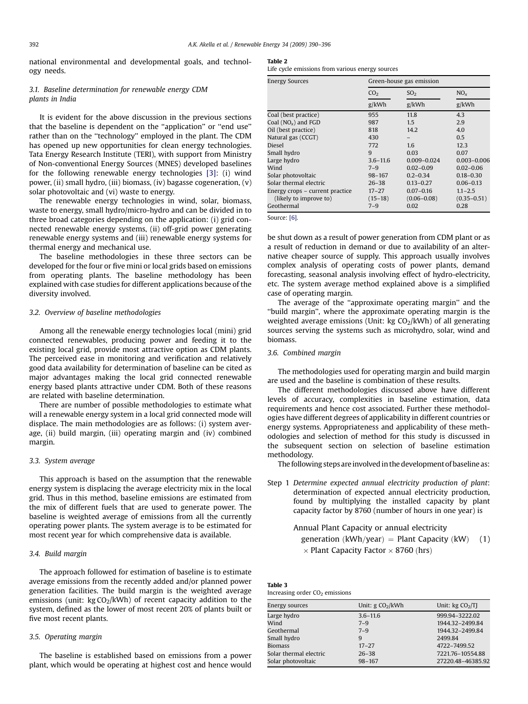<span id="page-2-0"></span>national environmental and developmental goals, and technology needs.

## 3.1. Baseline determination for renewable energy CDM plants in India

It is evident for the above discussion in the previous sections that the baseline is dependent on the ''application'' or ''end use'' rather than on the ''technology'' employed in the plant. The CDM has opened up new opportunities for clean energy technologies. Tata Energy Research Institute (TERI), with support from Ministry of Non-conventional Energy Sources (MNES) developed baselines for the following renewable energy technologies [\[3\]:](#page-6-0) (i) wind power, (ii) small hydro, (iii) biomass, (iv) bagasse cogeneration, (v) solar photovoltaic and (vi) waste to energy.

The renewable energy technologies in wind, solar, biomass, waste to energy, small hydro/micro-hydro and can be divided in to three broad categories depending on the application: (i) grid connected renewable energy systems, (ii) off-grid power generating renewable energy systems and (iii) renewable energy systems for thermal energy and mechanical use.

The baseline methodologies in these three sectors can be developed for the four or five mini or local grids based on emissions from operating plants. The baseline methodology has been explained with case studies for different applications because of the diversity involved.

## 3.2. Overview of baseline methodologies

Among all the renewable energy technologies local (mini) grid connected renewables, producing power and feeding it to the existing local grid, provide most attractive option as CDM plants. The perceived ease in monitoring and verification and relatively good data availability for determination of baseline can be cited as major advantages making the local grid connected renewable energy based plants attractive under CDM. Both of these reasons are related with baseline determination.

There are number of possible methodologies to estimate what will a renewable energy system in a local grid connected mode will displace. The main methodologies are as follows: (i) system average, (ii) build margin, (iii) operating margin and (iv) combined margin.

## 3.3. System average

This approach is based on the assumption that the renewable energy system is displacing the average electricity mix in the local grid. Thus in this method, baseline emissions are estimated from the mix of different fuels that are used to generate power. The baseline is weighted average of emissions from all the currently operating power plants. The system average is to be estimated for most recent year for which comprehensive data is available.

## 3.4. Build margin

The approach followed for estimation of baseline is to estimate average emissions from the recently added and/or planned power generation facilities. The build margin is the weighted average emissions (unit:  $kg CO<sub>2</sub>/kWh$ ) of recent capacity addition to the system, defined as the lower of most recent 20% of plants built or five most recent plants.

## 3.5. Operating margin

The baseline is established based on emissions from a power plant, which would be operating at highest cost and hence would

## Table 2

Life cycle emissions from various energy sources

| <b>Energy Sources</b>           | Green-house gas emission |                 |                 |
|---------------------------------|--------------------------|-----------------|-----------------|
|                                 | CO <sub>2</sub>          | SO <sub>2</sub> | NO <sub>x</sub> |
|                                 | g/kWh                    | g/kWh           | g/kWh           |
| Coal (best practice)            | 955                      | 11.8            | 4.3             |
| Coal $(NOx)$ and FGD            | 987                      | 1.5             | 2.9             |
| Oil (best practice)             | 818                      | 14.2            | 4.0             |
| Natural gas (CCGT)              | 430                      |                 | 0.5             |
| Diesel                          | 772                      | 1.6             | 12.3            |
| Small hydro                     | 9                        | 0.03            | 0.07            |
| Large hydro                     | $3.6 - 11.6$             | $0.009 - 0.024$ | $0.003 - 0.006$ |
| Wind                            | $7 - 9$                  | $0.02 - 0.09$   | $0.02 - 0.06$   |
| Solar photovoltaic              | $98 - 167$               | $0.2 - 0.34$    | $0.18 - 0.30$   |
| Solar thermal electric          | $26 - 38$                | $0.13 - 0.27$   | $0.06 - 0.13$   |
| Energy crops – current practice | $17 - 27$                | $0.07 - 0.16$   | $1.1 - 2.5$     |
| (likely to improve to)          | $(15-18)$                | $(0.06 - 0.08)$ | $(0.35 - 0.51)$ |
| Geothermal                      | $7 - 9$                  | 0.02            | 0.28            |

Source: [\[6\].](#page-6-0)

be shut down as a result of power generation from CDM plant or as a result of reduction in demand or due to availability of an alternative cheaper source of supply. This approach usually involves complex analysis of operating costs of power plants, demand forecasting, seasonal analysis involving effect of hydro-electricity, etc. The system average method explained above is a simplified case of operating margin.

The average of the ''approximate operating margin'' and the ''build margin'', where the approximate operating margin is the weighted average emissions (Unit:  $kg CO<sub>2</sub>/kWh$ ) of all generating sources serving the systems such as microhydro, solar, wind and biomass.

## 3.6. Combined margin

The methodologies used for operating margin and build margin are used and the baseline is combination of these results.

The different methodologies discussed above have different levels of accuracy, complexities in baseline estimation, data requirements and hence cost associated. Further these methodologies have different degrees of applicability in different countries or energy systems. Appropriateness and applicability of these methodologies and selection of method for this study is discussed in the subsequent section on selection of baseline estimation methodology.

The following steps are involved in the development of baseline as:

Step 1 Determine expected annual electricity production of plant: determination of expected annual electricity production, found by multiplying the installed capacity by plant capacity factor by 8760 (number of hours in one year) is

> Annual Plant Capacity or annual electricity generation (kWh/year) = Plant Capacity (kW) (1)  $\times$  Plant Capacity Factor  $\times$  8760 (hrs)

| Table 3                                    |  |
|--------------------------------------------|--|
| Increasing order CO <sub>2</sub> emissions |  |

| Energy sources         | Unit: $g \text{CO}_2$ /kWh | Unit: $kg CO2/T$  |
|------------------------|----------------------------|-------------------|
| Large hydro            | $3.6 - 11.6$               | 999.94-3222.02    |
| Wind                   | $7 - 9$                    | 1944.32-2499.84   |
| Geothermal             | $7 - 9$                    | 1944.32-2499.84   |
| Small hydro            | q                          | 2499.84           |
| <b>Biomass</b>         | $17 - 27$                  | 4722-7499.52      |
| Solar thermal electric | $26 - 38$                  | 7221.76-10554.88  |
| Solar photovoltaic     | $98 - 167$                 | 27220.48-46385.92 |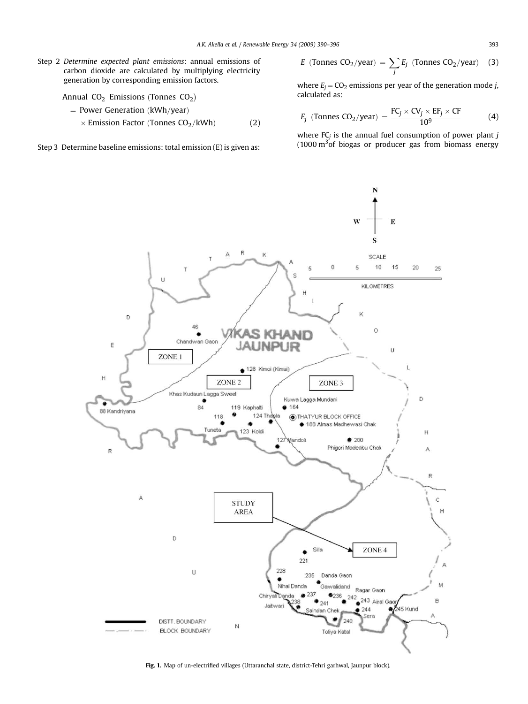<span id="page-3-0"></span>Step 2 Determine expected plant emissions: annual emissions of carbon dioxide are calculated by multiplying electricity generation by corresponding emission factors.

Annual CO<sub>2</sub> Emissions (Tonnes CO<sub>2</sub>)

\n= Power Generation (kWh/year)

\n
$$
\times
$$
 Emission Factor (Tonnes CO<sub>2</sub>/kWh)

\n(2)

Step 3 Determine baseline emissions: total emission (E) is given as:

E (Tonnes CO<sub>2</sub>/year) = 
$$
\sum_j E_j
$$
 (Tonnes CO<sub>2</sub>/year) (3)

where  $E_i$  = CO<sub>2</sub> emissions per year of the generation mode *j*, calculated as:

$$
E_j \text{ (Tonnes CO}_2/\text{year)} = \frac{\text{FC}_j \times \text{CV}_j \times \text{EF}_j \times \text{CF}}{10^9} \tag{4}
$$

where  $FC_j$  is the annual fuel consumption of power plant j  $(1000 \text{ m}^3)$  of biogas or producer gas from biomass energy



Fig. 1. Map of un-electrified villages (Uttaranchal state, district-Tehri garhwal, Jaunpur block).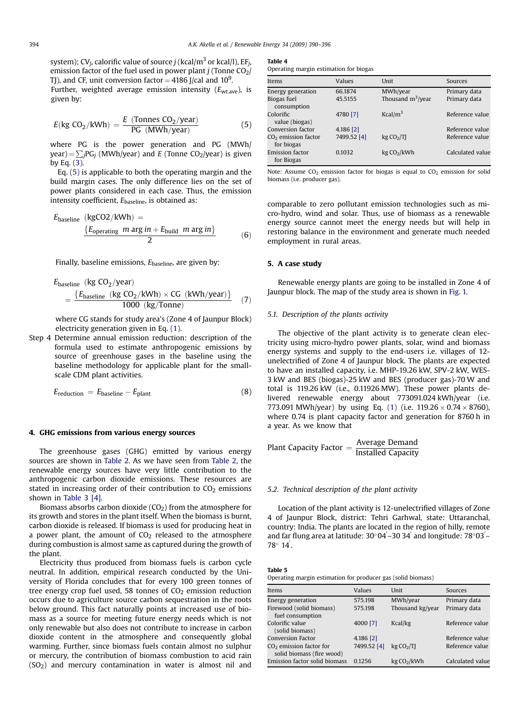<span id="page-4-0"></span>system); CV<sub>j</sub>, calorific value of source  $j$  (kcal/m<sup>3</sup> or kcal/l), EF<sub>j</sub>, emission factor of the fuel used in power plant *j* (Tonne  $CO<sub>2</sub>/$ TJ), and CF, unit conversion factor = 4186 J/cal and 10 $^9$ . Further, weighted average emission intensity ( $E_{\text{wt,ave}}$ ), is given by:

$$
E(\text{kg CO}_2/\text{kWh}) = \frac{E \text{ (Tonnes CO}_2/\text{year})}{PG \text{ (MWh/year)}}
$$
(5)

where PG is the power generation and PG (MWh/  $year) = \sum_i PG_i$  (MWh/year) and E (Tonne CO<sub>2</sub>/year) is given by Eq. [\(3\).](#page-3-0)

Eq. (5) is applicable to both the operating margin and the build margin cases. The only difference lies on the set of power plants considered in each case. Thus, the emission intensity coefficient,  $E_{\text{baseline}}$ , is obtained as:

$$
E_{\text{baseline}} \quad (\text{kgCO2}/\text{kWh}) =
$$
\n
$$
\frac{\{E_{\text{operating}} \ m \text{ arg in} + E_{\text{build}} \ m \text{ arg in}\}}{2} \tag{6}
$$

Finally, baseline emissions,  $E_{\text{baseline}}$ , are given by:

$$
E_{\text{baseline}} \quad (\text{kg CO}_2/\text{year})
$$
\n
$$
= \frac{\{E_{\text{baseline}} \quad (\text{kg CO}_2/\text{kWh}) \times \text{CG} \quad (\text{kWh}/\text{year})\}}{1000 \quad (\text{kg}/\text{Tomne})} \tag{7}
$$

where CG stands for study area's (Zone 4 of Jaunpur Block) electricity generation given in Eq. [\(1\)](#page-2-0).

Step 4 Determine annual emission reduction: description of the formula used to estimate anthropogenic emissions by source of greenhouse gases in the baseline using the baseline methodology for applicable plant for the smallscale CDM plant activities.

$$
E_{\text{reduction}} = E_{\text{baseline}} - E_{\text{plant}} \tag{8}
$$

## 4. GHG emissions from various energy sources

The greenhouse gases (GHG) emitted by various energy sources are shown in [Table 2](#page-2-0). As we have seen from [Table 2,](#page-2-0) the renewable energy sources have very little contribution to the anthropogenic carbon dioxide emissions. These resources are stated in increasing order of their contribution to  $CO<sub>2</sub>$  emissions shown in [Table 3](#page-2-0) [\[4\].](#page-6-0)

Biomass absorbs carbon dioxide  $(CO<sub>2</sub>)$  from the atmosphere for its growth and stores in the plant itself. When the biomass is burnt, carbon dioxide is released. If biomass is used for producing heat in a power plant, the amount of  $CO<sub>2</sub>$  released to the atmosphere during combustion is almost same as captured during the growth of the plant.

Electricity thus produced from biomass fuels is carbon cycle neutral. In addition, empirical research conducted by the University of Florida concludes that for every 100 green tonnes of tree energy crop fuel used, 58 tonnes of  $CO<sub>2</sub>$  emission reduction occurs due to agriculture source carbon sequestration in the roots below ground. This fact naturally points at increased use of biomass as a source for meeting future energy needs which is not only renewable but also does not contribute to increase in carbon dioxide content in the atmosphere and consequently global warming. Further, since biomass fuels contain almost no sulphur or mercury, the contribution of biomass combustion to acid rain  $(SO<sub>2</sub>)$  and mercury contamination in water is almost nil and

## Table 4

Operating margin estimation for biogas

| Items                                | Values      | Unit                    | Sources          |
|--------------------------------------|-------------|-------------------------|------------------|
| Energy generation                    | 66.1874     | MWh/year                | Primary data     |
| Biogas fuel<br>consumption           | 45.5155     | Thousand $m^3$ /year    | Primary data     |
| Colorific<br>value (biogas)          | 4780 [7]    | $Kcal/m^3$              | Reference value  |
| Conversion factor                    | 4.186 [2]   |                         | Reference value  |
| $CO2$ emission factor<br>for biogas  | 7499.52 [4] | kg CO <sub>2</sub> /TI  | Reference value  |
| <b>Emission factor</b><br>for Biogas | 0.1032      | kg CO <sub>2</sub> /kWh | Calculated value |

Note: Assume  $CO<sub>2</sub>$  emission factor for biogas is equal to  $CO<sub>2</sub>$  emission for solid biomass (i.e. producer gas).

comparable to zero pollutant emission technologies such as micro-hydro, wind and solar. Thus, use of biomass as a renewable energy source cannot meet the energy needs but will help in restoring balance in the environment and generate much needed employment in rural areas.

## 5. A case study

Renewable energy plants are going to be installed in Zone 4 of Jaunpur block. The map of the study area is shown in [Fig. 1.](#page-3-0)

## 5.1. Description of the plants activity

The objective of the plant activity is to generate clean electricity using micro-hydro power plants, solar, wind and biomass energy systems and supply to the end-users i.e. villages of 12 unelectrified of Zone 4 of Jaunpur block. The plants are expected to have an installed capacity, i.e. MHP-19.26 kW, SPV-2 kW, WES-3 kW and BES (biogas)-25 kW and BES (producer gas)-70 W and total is 119.26 kW (i.e., 0.11926 MW). These power plants delivered renewable energy about 773091.024 kWh/year (i.e. 773.091 MWh/year) by using Eq.  $(1)$  (i.e. 119.26  $\times$  0.74  $\times$  8760), where 0.74 is plant capacity factor and generation for 8760 h in a year. As we know that

Plant Capacity Factor 
$$
=
$$
  $\frac{\text{Average Demand}}{\text{Insteadled Capacity}}$ 

## 5.2. Technical description of the plant activity

Location of the plant activity is 12-unelectrified villages of Zone 4 of Jaunpur Block, district: Tehri Garhwal, state: Uttaranchal, country: India. The plants are located in the region of hilly, remote and far flung area at latitude:  $30^{\circ}04'$  -  $30^{\circ}34'$  and longitude:  $78^{\circ}03'$  - $78^{\circ}$  14'.

| Table 5                                                      |  |  |
|--------------------------------------------------------------|--|--|
| Operating margin estimation for producer gas (solid biomass) |  |  |

| Items                                                  | Values      | Unit                    | Sources          |
|--------------------------------------------------------|-------------|-------------------------|------------------|
| Energy generation                                      | 575.198     | MWh/year                | Primary data     |
| Firewood (solid biomass)<br>fuel consumption           | 575.198     | Thousand kg/year        | Primary data     |
| Colorific value<br>(solid biomass)                     | 4000 [7]    | Kcal/kg                 | Reference value  |
| <b>Conversion Factor</b>                               | 4.186 [2]   |                         | Reference value  |
| $CO2$ emission factor for<br>solid biomass (fire wood) | 7499.52 [4] | kg CO <sub>2</sub> /TI  | Reference value  |
| Emission factor solid biomass                          | 0.1256      | kg CO <sub>2</sub> /kWh | Calculated value |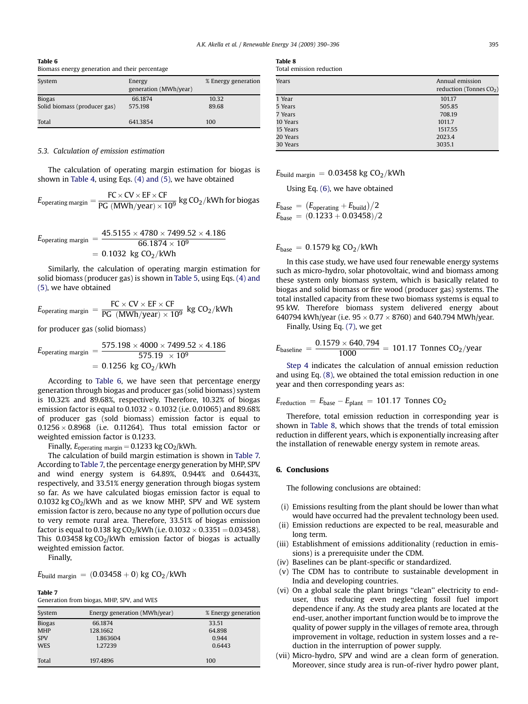| abl |  |
|-----|--|
|-----|--|

Biomass energy generation and their percentage

| System                                        | Energy<br>generation (MWh/year) | % Energy generation |
|-----------------------------------------------|---------------------------------|---------------------|
| <b>Biogas</b><br>Solid biomass (producer gas) | 66.1874<br>575.198              | 10.32<br>89.68      |
| Total                                         | 641.3854                        | 100                 |

#### 5.3. Calculation of emission estimation

The calculation of operating margin estimation for biogas is shown in [Table 4,](#page-4-0) using Eqs. [\(4\) and \(5\)](#page-3-0), we have obtained

$$
E_{\text{operating margin}} = \frac{FC \times CV \times EF \times CF}{PG (MWh/year) \times 10^9} \text{ kg CO}_2/\text{kWh} \text{ for biogas}
$$

$$
E_{\text{operating margin}} = \frac{45.5155 \times 4780 \times 7499.52 \times 4.186}{66.1874 \times 10^9} = 0.1032 \text{ kg CO}_2/\text{kWh}
$$

Similarly, the calculation of operating margin estimation for solid biomass (producer gas) is shown in [Table 5](#page-4-0), using Eqs. [\(4\) and](#page-3-0) [\(5\)](#page-3-0), we have obtained

$$
E_{\text{operating margin}} = \frac{FC \times CV \times EF \times CF}{PG \ (MWh/year) \times 10^9} \text{ kg CO}_2/\text{kWh}
$$

for producer gas (solid biomass)

$$
E_{\text{operating margin}} = \frac{575.198 \times 4000 \times 7499.52 \times 4.186}{575.19 \times 10^9} = 0.1256 \text{ kg CO}_2/\text{kWh}
$$

According to Table 6, we have seen that percentage energy generation through biogas and producer gas (solid biomass) system is 10.32% and 89.68%, respectively. Therefore, 10.32% of biogas emission factor is equal to 0.1032  $\times$  0.1032 (i.e. 0.01065) and 89.68% of producer gas (sold biomass) emission factor is equal to  $0.1256\times0.8968$  (i.e.  $0.11264$ ). Thus total emission factor or weighted emission factor is 0.1233.

Finally,  $E_{\text{operating margin}} = 0.1233 \text{ kg CO}_2/\text{kWh}.$ 

The calculation of build margin estimation is shown in Table 7. According to Table 7, the percentage energy generation by MHP, SPV and wind energy system is 64.89%, 0.944% and 0.6443%, respectively, and 33.51% energy generation through biogas system so far. As we have calculated biogas emission factor is equal to 0.1032 kg  $CO<sub>2</sub>/kWh$  and as we know MHP, SPV and WE system emission factor is zero, because no any type of pollution occurs due to very remote rural area. Therefore, 33.51% of biogas emission factor is equal to 0.138 kg CO $_2$ /kWh (i.e. 0.1032  $\times$  0.3351  $=$  0.03458). This  $0.03458$  kg CO<sub>2</sub>/kWh emission factor of biogas is actually weighted emission factor.

Finally,

 $E_{build\ margin} = (0.03458 + 0)$  kg CO<sub>2</sub>/kWh

#### Table 7

Generation from biogas, MHP, SPV, and WES

| System        | Energy generation (MWh/year) | % Energy generation |
|---------------|------------------------------|---------------------|
| <b>Biogas</b> | 66.1874                      | 33.51               |
| <b>MHP</b>    | 128.1662                     | 64.898              |
| <b>SPV</b>    | 1.863604                     | 0.944               |
| <b>WES</b>    | 1.27239                      | 0.6443              |
|               |                              |                     |
| Total         | 197.4896                     | 100                 |

| ٠ |  |
|---|--|

| Total emission reduction |  |
|--------------------------|--|
|--------------------------|--|

| Years    | Annual emission<br>reduction (Tonnes $CO2$ ) |
|----------|----------------------------------------------|
| 1 Year   | 101.17                                       |
| 5 Years  | 505.85                                       |
| 7 Years  | 708.19                                       |
| 10 Years | 1011.7                                       |
| 15 Years | 1517.55                                      |
| 20 Years | 2023.4                                       |
| 30 Years | 3035.1                                       |

 $E_{\text{build margin}} = 0.03458 \text{ kg CO}_2/\text{kWh}$ 

Using Eq. [\(6\),](#page-4-0) we have obtained

|  | $E_{\text{base}} = (E_{\text{operating}} + E_{\text{build}})/2$ |
|--|-----------------------------------------------------------------|
|  | $E_{base} = (0.1233 + 0.03458)/2$                               |

 $E_{\text{base}} = 0.1579$  kg CO<sub>2</sub>/kWh

In this case study, we have used four renewable energy systems such as micro-hydro, solar photovoltaic, wind and biomass among these system only biomass system, which is basically related to biogas and solid biomass or fire wood (producer gas) systems. The total installed capacity from these two biomass systems is equal to 95 kW. Therefore biomass system delivered energy about 640794 kWh/year (i.e. 95  $\times$  0.77  $\times$  8760) and 640.794 MWh/year.

Finally, Using Eq. [\(7\)](#page-4-0), we get

$$
E_{\text{baseline}} = \frac{0.1579 \times 640,794}{1000} = 101.17 \text{ Tonnes CO}_2/\text{year}
$$

Step 4 indicates the calculation of annual emission reduction and using Eq. [\(8\),](#page-4-0) we obtained the total emission reduction in one year and then corresponding years as:

$$
E_{\text{reduction}} = E_{\text{base}} - E_{\text{plant}} = 101.17 \text{ Tonnes CO}_2
$$

Therefore, total emission reduction in corresponding year is shown in Table 8, which shows that the trends of total emission reduction in different years, which is exponentially increasing after the installation of renewable energy system in remote areas.

## 6. Conclusions

The following conclusions are obtained:

- (i) Emissions resulting from the plant should be lower than what would have occurred had the prevalent technology been used.
- (ii) Emission reductions are expected to be real, measurable and long term.
- (iii) Establishment of emissions additionality (reduction in emissions) is a prerequisite under the CDM.
- (iv) Baselines can be plant-specific or standardized.
- (v) The CDM has to contribute to sustainable development in India and developing countries.
- (vi) On a global scale the plant brings ''clean'' electricity to enduser, thus reducing even neglecting fossil fuel import dependence if any. As the study area plants are located at the end-user, another important function would be to improve the quality of power supply in the villages of remote area, through improvement in voltage, reduction in system losses and a reduction in the interruption of power supply.
- (vii) Micro-hydro, SPV and wind are a clean form of generation. Moreover, since study area is run-of-river hydro power plant,